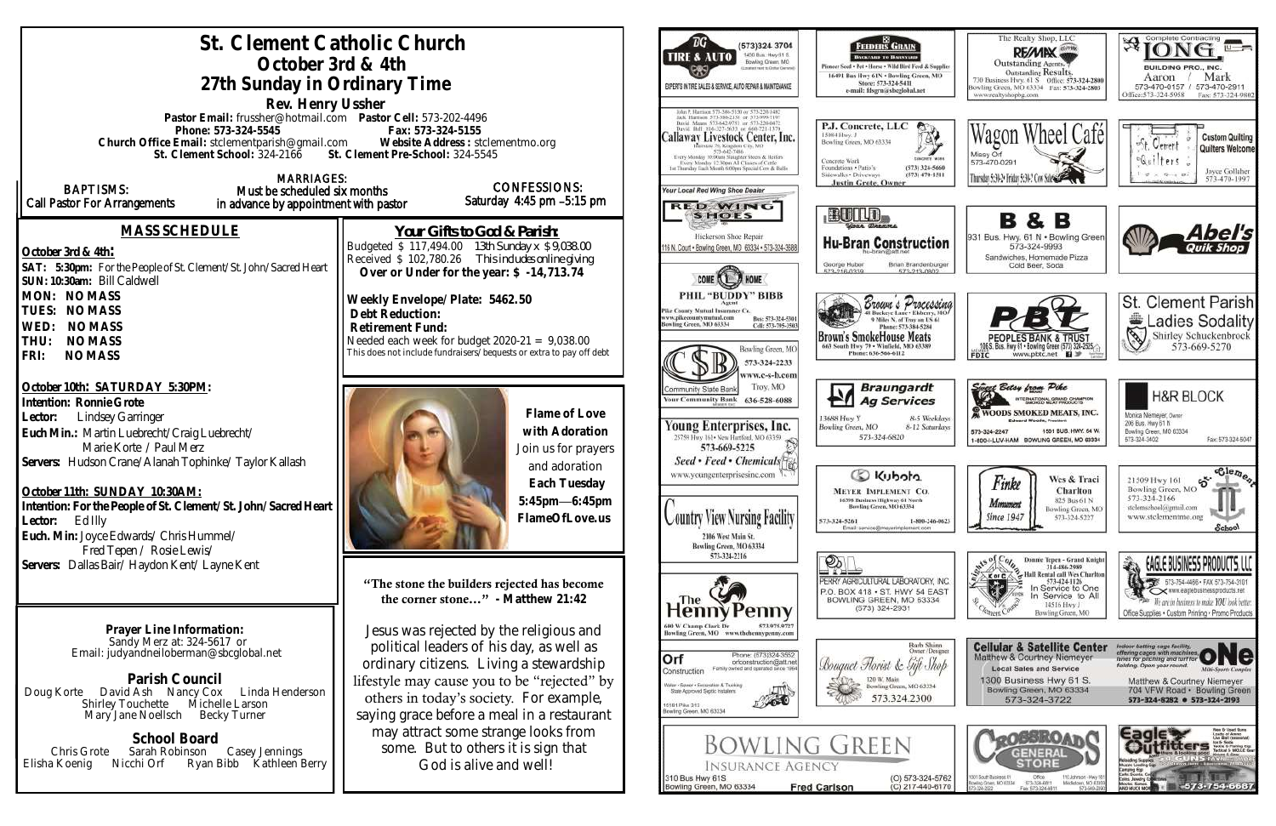